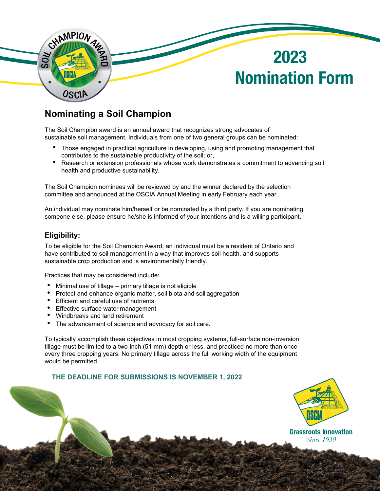

### **Nominating a Soil Champion**

The Soil Champion award is an annual award that recognizes strong advocates of sustainable soil management. Individuals from one of two general groups can be nominated:

- Those engaged in practical agriculture in developing, using and promoting management that contributes to the sustainable productivity of the soil; or,
- Research or extension professionals whose work demonstrates a commitment to advancing soil health and productive sustainability.

The Soil Champion nominees will be reviewed by and the winner declared by the selection committee and announced at the OSCIA Annual Meeting in early February each year.

An individual may nominate him/herself or be nominated by a third party. If you are nominating someone else, please ensure he/she is informed of your intentions and is a willing participant.

#### **Eligibility:**

To be eligible for the Soil Champion Award, an individual must be a resident of Ontario and have contributed to soil management in a way that improves soil health, and supports sustainable crop production and is environmentally friendly.

Practices that may be considered include:

- 
- Minimal use of tillage primary tillage is not eligible<br>• Protect and enhance organic matter, soil biota and soil aggregation<br>• Efficient and careful use of nutrients
- 
- Effective surface water management<br>• Windbreaks and land retirement
- 
- The advancement of science and advocacy for soil care.

To typically accomplish these objectives in most cropping systems, full-surface non-inversion tillage must be limited to a two-inch (51 mm) depth or less, and practiced no more than once every three cropping years. No primary tillage across the full working width of the equipment would be permitted.

#### **THE DEADLINE FOR SUBMISSIONS IS NOVEMBER 1, 2022**



**Since 1939**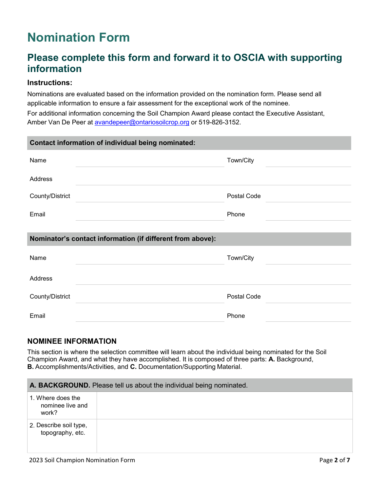# **Nomination Form**

## **Please complete this form and forward it to OSCIA with supporting information**

#### **Instructions:**

Nominations are evaluated based on the information provided on the nomination form. Please send all applicable information to ensure a fair assessment for the exceptional work of the nominee.

For additional information concerning the Soil Champion Award please contact the Executive Assistant, Amber Van De Peer at [avandepeer@ontariosoilcrop.org](mailto:avandepeer@ontariosoilcrop.org) or 519-826-3152.

| Contact information of individual being nominated:         |             |  |
|------------------------------------------------------------|-------------|--|
| Name                                                       | Town/City   |  |
| Address                                                    |             |  |
| County/District                                            | Postal Code |  |
| Email                                                      | Phone       |  |
|                                                            |             |  |
| Nominator's contact information (if different from above): |             |  |
| Name                                                       | Town/City   |  |
| Address                                                    |             |  |
| County/District                                            | Postal Code |  |
| Email                                                      | Phone       |  |

#### **NOMINEE INFORMATION**

This section is where the selection committee will learn about the individual being nominated for the Soil Champion Award, and what they have accomplished. It is composed of three parts: **A.** Background, **B.** Accomplishments/Activities, and **C.** Documentation/Supporting Material.

| A. BACKGROUND. Please tell us about the individual being nominated. |  |
|---------------------------------------------------------------------|--|
| 1. Where does the<br>nominee live and<br>work?                      |  |
| 2. Describe soil type,<br>topography, etc.                          |  |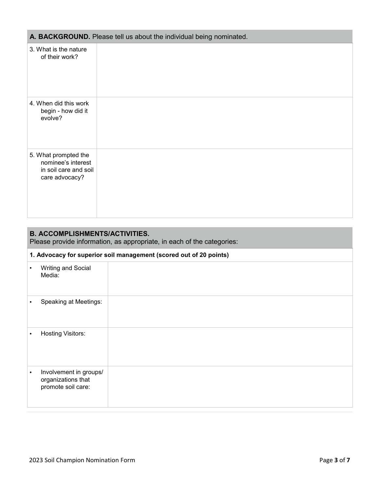| A. BACKGROUND. Please tell us about the individual being nominated. |  |
|---------------------------------------------------------------------|--|
|---------------------------------------------------------------------|--|

| 3. What is the nature<br>of their work?                                               |  |
|---------------------------------------------------------------------------------------|--|
| 4. When did this work<br>begin - how did it<br>evolve?                                |  |
| 5. What prompted the<br>nominee's interest<br>in soil care and soil<br>care advocacy? |  |

| <b>B. ACCOMPLISHMENTS/ACTIVITIES.</b><br>Please provide information, as appropriate, in each of the categories: |                                                                    |                                                                    |
|-----------------------------------------------------------------------------------------------------------------|--------------------------------------------------------------------|--------------------------------------------------------------------|
|                                                                                                                 |                                                                    | 1. Advocacy for superior soil management (scored out of 20 points) |
|                                                                                                                 | <b>Writing and Social</b><br>Media:                                |                                                                    |
|                                                                                                                 | Speaking at Meetings:                                              |                                                                    |
|                                                                                                                 | <b>Hosting Visitors:</b>                                           |                                                                    |
|                                                                                                                 | Involvement in groups/<br>organizations that<br>promote soil care: |                                                                    |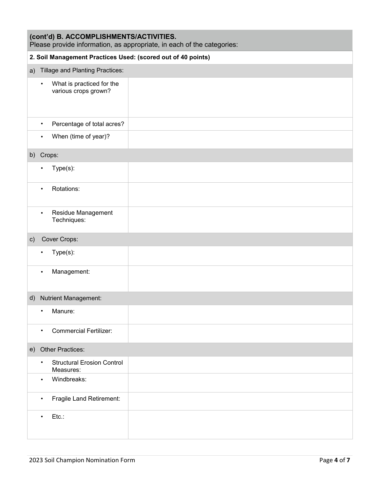| (cont'd) B. ACCOMPLISHMENTS/ACTIVITIES.<br>Please provide information, as appropriate, in each of the categories: |                        |                                                               |                                                              |
|-------------------------------------------------------------------------------------------------------------------|------------------------|---------------------------------------------------------------|--------------------------------------------------------------|
|                                                                                                                   |                        |                                                               | 2. Soil Management Practices Used: (scored out of 40 points) |
| a)                                                                                                                |                        | Tillage and Planting Practices:                               |                                                              |
|                                                                                                                   | $\bullet$              | What is practiced for the<br>various crops grown?             |                                                              |
|                                                                                                                   | $\bullet$              | Percentage of total acres?                                    |                                                              |
|                                                                                                                   | $\bullet$              | When (time of year)?                                          |                                                              |
| b)                                                                                                                | Crops:                 |                                                               |                                                              |
|                                                                                                                   | $\bullet$              | $Type(s)$ :                                                   |                                                              |
|                                                                                                                   | $\bullet$              | Rotations:                                                    |                                                              |
|                                                                                                                   | $\bullet$              | Residue Management<br>Techniques:                             |                                                              |
| $\mathsf{c})$                                                                                                     |                        | Cover Crops:                                                  |                                                              |
|                                                                                                                   | $\bullet$              | $Type(s)$ :                                                   |                                                              |
|                                                                                                                   | $\bullet$              | Management:                                                   |                                                              |
| d)                                                                                                                |                        | <b>Nutrient Management:</b>                                   |                                                              |
|                                                                                                                   | ٠                      | Manure:                                                       |                                                              |
|                                                                                                                   | $\bullet$              | <b>Commercial Fertilizer:</b>                                 |                                                              |
| e)                                                                                                                |                        | Other Practices:                                              |                                                              |
|                                                                                                                   | $\bullet$<br>$\bullet$ | <b>Structural Erosion Control</b><br>Measures:<br>Windbreaks: |                                                              |
|                                                                                                                   | $\bullet$              | Fragile Land Retirement:                                      |                                                              |
|                                                                                                                   | $\bullet$              | $Etc$ .:                                                      |                                                              |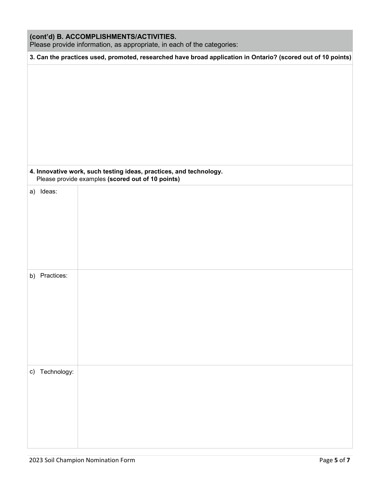| (cont'd) B. ACCOMPLISHMENTS/ACTIVITIES.<br>Please provide information, as appropriate, in each of the categories: |                                                                                                                         |  |
|-------------------------------------------------------------------------------------------------------------------|-------------------------------------------------------------------------------------------------------------------------|--|
|                                                                                                                   | 3. Can the practices used, promoted, researched have broad application in Ontario? (scored out of 10 points)            |  |
|                                                                                                                   | 4. Innovative work, such testing ideas, practices, and technology.<br>Please provide examples (scored out of 10 points) |  |
| a) Ideas:                                                                                                         |                                                                                                                         |  |
| b) Practices:                                                                                                     |                                                                                                                         |  |
| c) Technology:                                                                                                    |                                                                                                                         |  |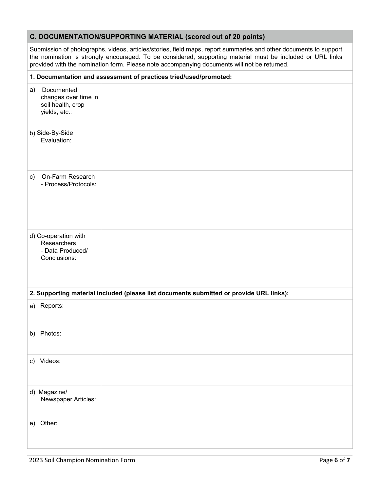#### **C. DOCUMENTATION/SUPPORTING MATERIAL (scored out of 20 points)**

Submission of photographs, videos, articles/stories, field maps, report summaries and other documents to support the nomination is strongly encouraged. To be considered, supporting material must be included or URL links provided with the nomination form. Please note accompanying documents will not be returned.

|               | 1. Documentation and assessment of practices tried/used/promoted:        |                                                                                         |  |
|---------------|--------------------------------------------------------------------------|-----------------------------------------------------------------------------------------|--|
| a)            | Documented<br>changes over time in<br>soil health, crop<br>yields, etc.: |                                                                                         |  |
|               | b) Side-By-Side<br>Evaluation:                                           |                                                                                         |  |
| $\mathsf{c})$ | On-Farm Research<br>- Process/Protocols:                                 |                                                                                         |  |
|               | d) Co-operation with<br>Researchers<br>- Data Produced/<br>Conclusions:  |                                                                                         |  |
|               |                                                                          | 2. Supporting material included (please list documents submitted or provide URL links): |  |
|               | a) Reports:                                                              |                                                                                         |  |
|               | b) Photos:                                                               |                                                                                         |  |
|               | c) Videos:                                                               |                                                                                         |  |
|               | d) Magazine/<br>Newspaper Articles:                                      |                                                                                         |  |
| e)            | Other:                                                                   |                                                                                         |  |